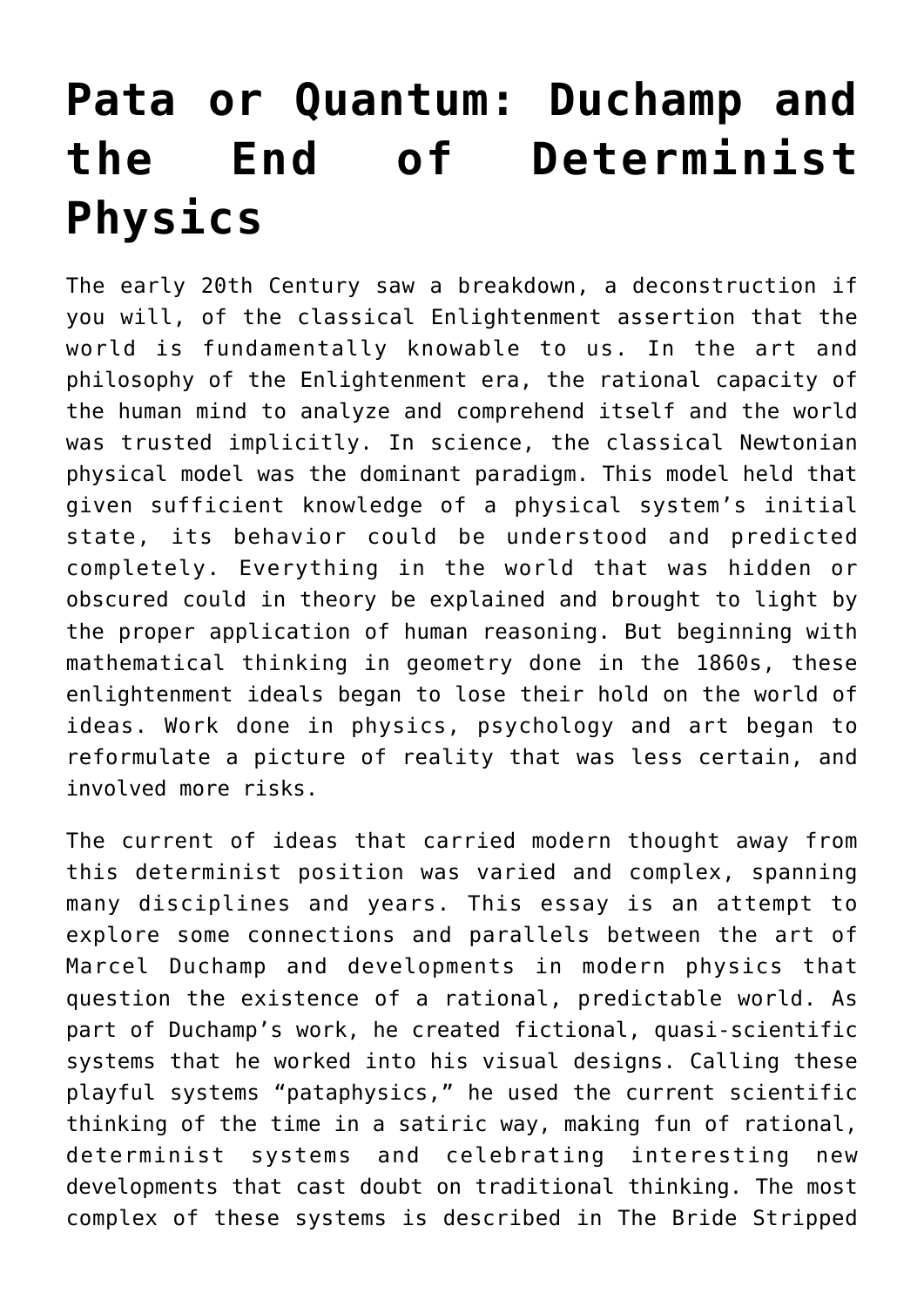## **[Pata or Quantum: Duchamp and](https://www.toutfait.com/pata-or-quantum-duchamp-and-the-end-of-determinist-physics/) [the End of Determinist](https://www.toutfait.com/pata-or-quantum-duchamp-and-the-end-of-determinist-physics/) [Physics](https://www.toutfait.com/pata-or-quantum-duchamp-and-the-end-of-determinist-physics/)**

The early 20th Century saw a breakdown, a deconstruction if you will, of the classical Enlightenment assertion that the world is fundamentally knowable to us. In the art and philosophy of the Enlightenment era, the rational capacity of the human mind to analyze and comprehend itself and the world was trusted implicitly. In science, the classical Newtonian physical model was the dominant paradigm. This model held that given sufficient knowledge of a physical system's initial state, its behavior could be understood and predicted completely. Everything in the world that was hidden or obscured could in theory be explained and brought to light by the proper application of human reasoning. But beginning with mathematical thinking in geometry done in the 1860s, these enlightenment ideals began to lose their hold on the world of ideas. Work done in physics, psychology and art began to reformulate a picture of reality that was less certain, and involved more risks.

The current of ideas that carried modern thought away from this determinist position was varied and complex, spanning many disciplines and years. This essay is an attempt to explore some connections and parallels between the art of Marcel Duchamp and developments in modern physics that question the existence of a rational, predictable world. As part of Duchamp's work, he created fictional, quasi-scientific systems that he worked into his visual designs. Calling these playful systems "pataphysics," he used the current scientific thinking of the time in a satiric way, making fun of rational, determinist systems and celebrating interesting new developments that cast doubt on traditional thinking. The most complex of these systems is described in The Bride Stripped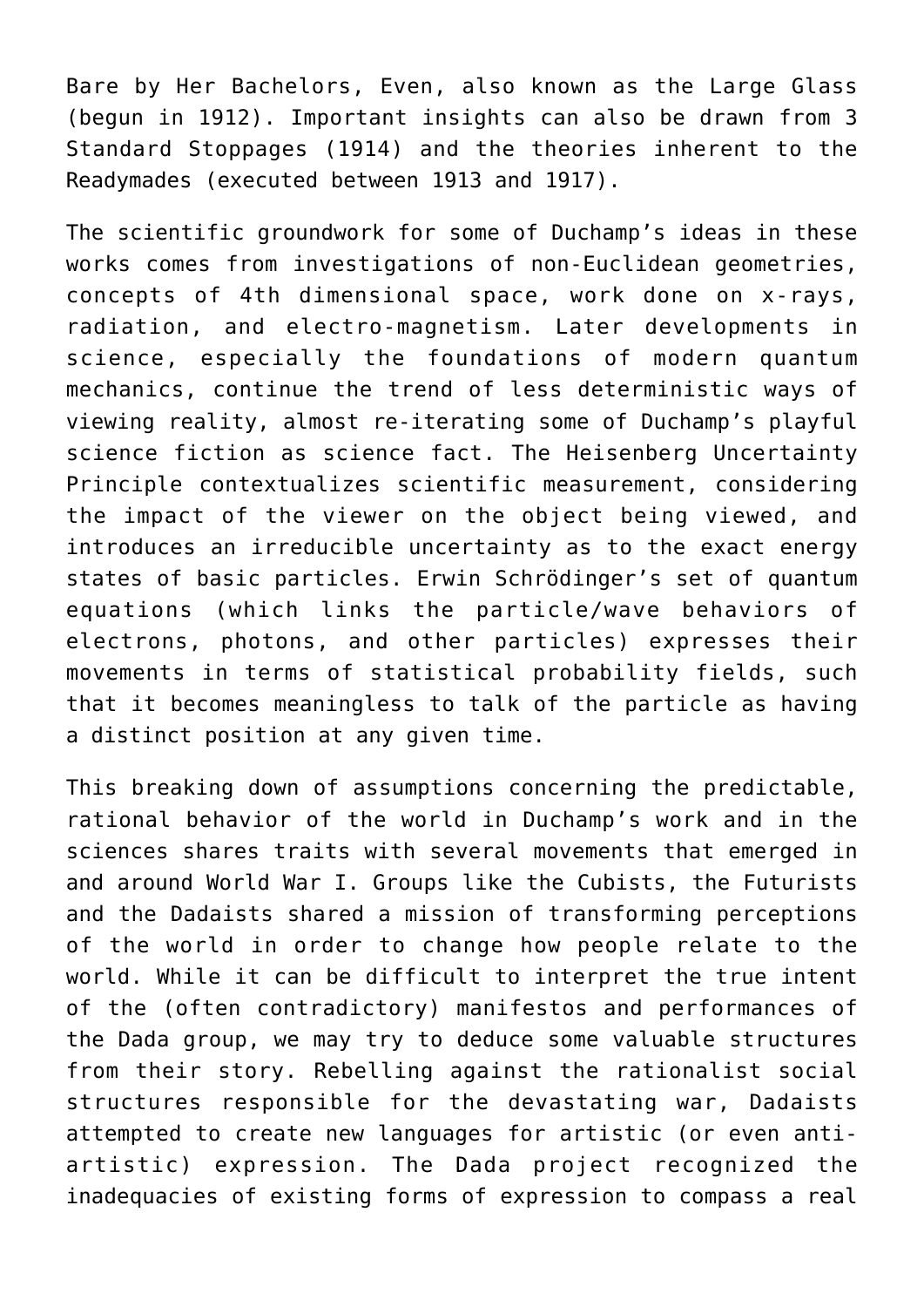Bare by Her Bachelors, Even, also known as the Large Glass (begun in 1912). Important insights can also be drawn from 3 Standard Stoppages (1914) and the theories inherent to the Readymades (executed between 1913 and 1917).

The scientific groundwork for some of Duchamp's ideas in these works comes from investigations of non-Euclidean geometries, concepts of 4th dimensional space, work done on x-rays, radiation, and electro-magnetism. Later developments in science, especially the foundations of modern quantum mechanics, continue the trend of less deterministic ways of viewing reality, almost re-iterating some of Duchamp's playful science fiction as science fact. The Heisenberg Uncertainty Principle contextualizes scientific measurement, considering the impact of the viewer on the object being viewed, and introduces an irreducible uncertainty as to the exact energy states of basic particles. Erwin Schrödinger's set of quantum equations (which links the particle/wave behaviors of electrons, photons, and other particles) expresses their movements in terms of statistical probability fields, such that it becomes meaningless to talk of the particle as having a distinct position at any given time.

This breaking down of assumptions concerning the predictable, rational behavior of the world in Duchamp's work and in the sciences shares traits with several movements that emerged in and around World War I. Groups like the Cubists, the Futurists and the Dadaists shared a mission of transforming perceptions of the world in order to change how people relate to the world. While it can be difficult to interpret the true intent of the (often contradictory) manifestos and performances of the Dada group, we may try to deduce some valuable structures from their story. Rebelling against the rationalist social structures responsible for the devastating war, Dadaists attempted to create new languages for artistic (or even antiartistic) expression. The Dada project recognized the inadequacies of existing forms of expression to compass a real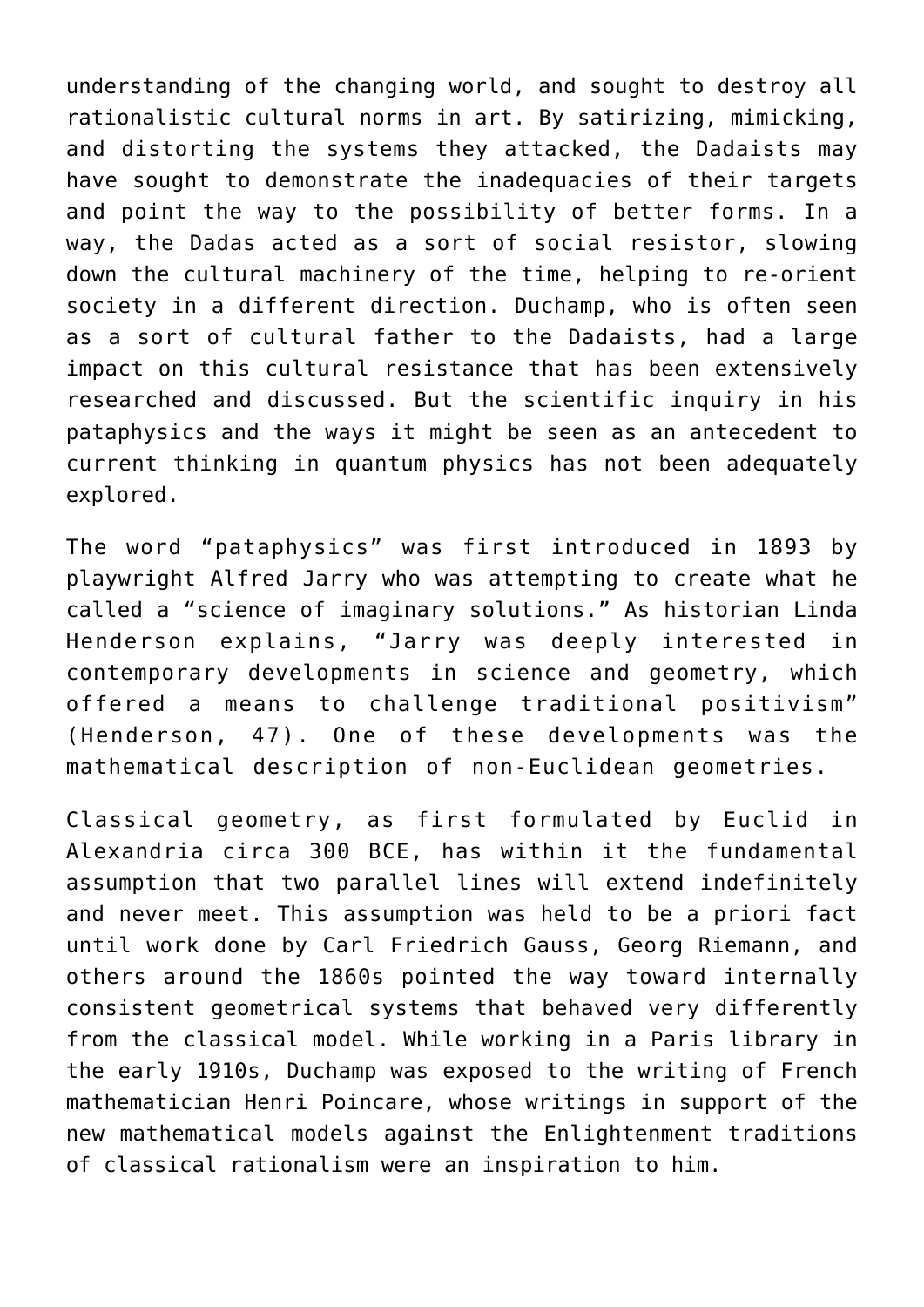understanding of the changing world, and sought to destroy all rationalistic cultural norms in art. By satirizing, mimicking, and distorting the systems they attacked, the Dadaists may have sought to demonstrate the inadequacies of their targets and point the way to the possibility of better forms. In a way, the Dadas acted as a sort of social resistor, slowing down the cultural machinery of the time, helping to re-orient society in a different direction. Duchamp, who is often seen as a sort of cultural father to the Dadaists, had a large impact on this cultural resistance that has been extensively researched and discussed. But the scientific inquiry in his pataphysics and the ways it might be seen as an antecedent to current thinking in quantum physics has not been adequately explored.

The word "pataphysics" was first introduced in 1893 by playwright Alfred Jarry who was attempting to create what he called a "science of imaginary solutions." As historian Linda Henderson explains, "Jarry was deeply interested in contemporary developments in science and geometry, which offered a means to challenge traditional positivism" (Henderson, 47). One of these developments was the mathematical description of non-Euclidean geometries.

Classical geometry, as first formulated by Euclid in Alexandria circa 300 BCE, has within it the fundamental assumption that two parallel lines will extend indefinitely and never meet. This assumption was held to be a priori fact until work done by Carl Friedrich Gauss, Georg Riemann, and others around the 1860s pointed the way toward internally consistent geometrical systems that behaved very differently from the classical model. While working in a Paris library in the early 1910s, Duchamp was exposed to the writing of French mathematician Henri Poincare, whose writings in support of the new mathematical models against the Enlightenment traditions of classical rationalism were an inspiration to him.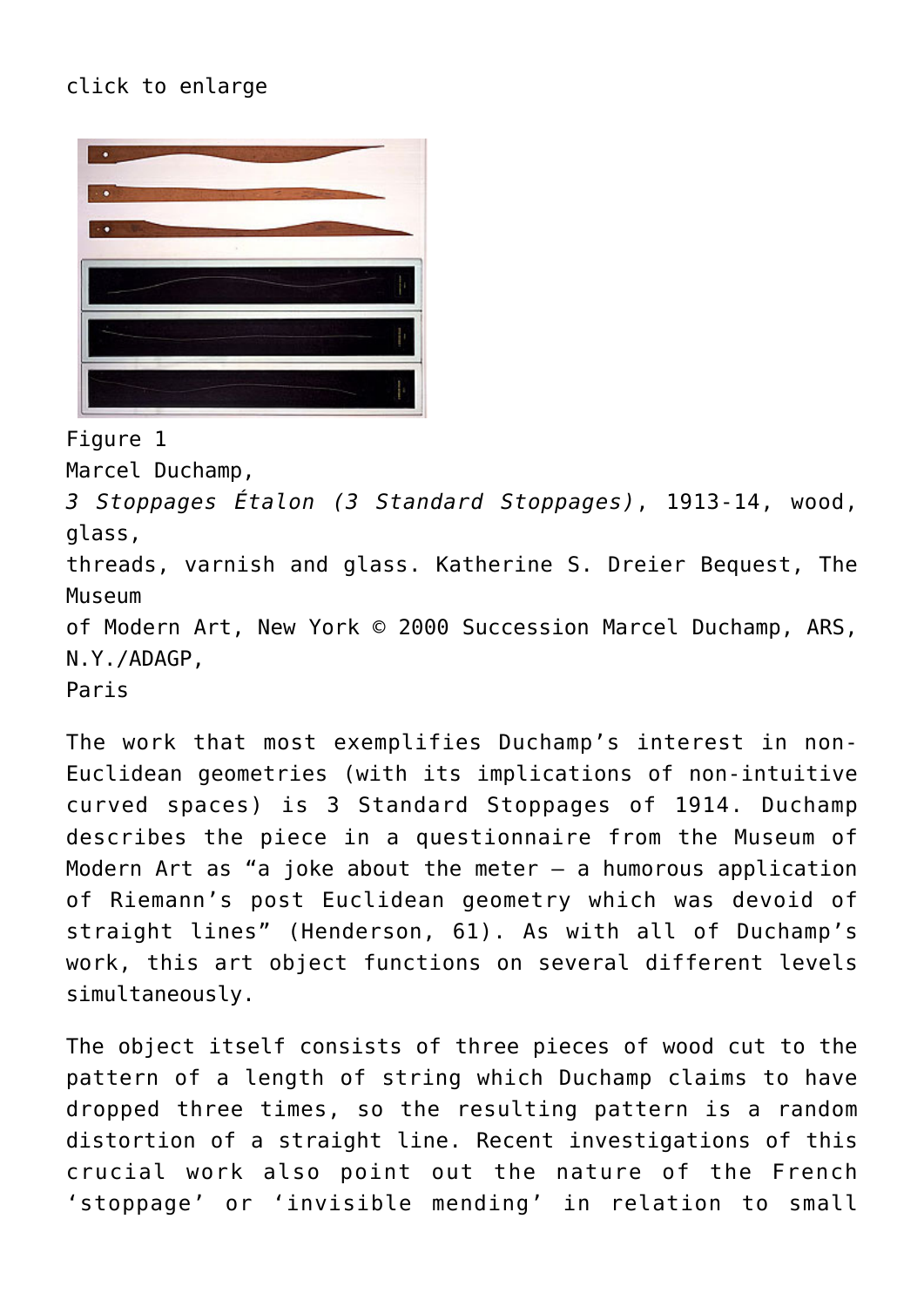## click to enlarge



Figure 1

Marcel Duchamp,

*3 Stoppages Étalon (3 Standard Stoppages)*, 1913-14, wood, glass,

threads, varnish and glass. Katherine S. Dreier Bequest, The Museum

of Modern Art, New York © 2000 Succession Marcel Duchamp, ARS, N.Y./ADAGP,

Paris

The work that most exemplifies Duchamp's interest in non-Euclidean geometries (with its implications of non-intuitive curved spaces) is 3 Standard Stoppages of 1914. Duchamp describes the piece in a questionnaire from the Museum of Modern Art as "a joke about the meter  $-$  a humorous application of Riemann's post Euclidean geometry which was devoid of straight lines" (Henderson, 61). As with all of Duchamp's work, this art object functions on several different levels simultaneously.

The object itself consists of three pieces of wood cut to the pattern of a length of string which Duchamp claims to have dropped three times, so the resulting pattern is a random distortion of a straight line. Recent investigations of this crucial work also point out the nature of the French 'stoppage' or 'invisible mending' in relation to small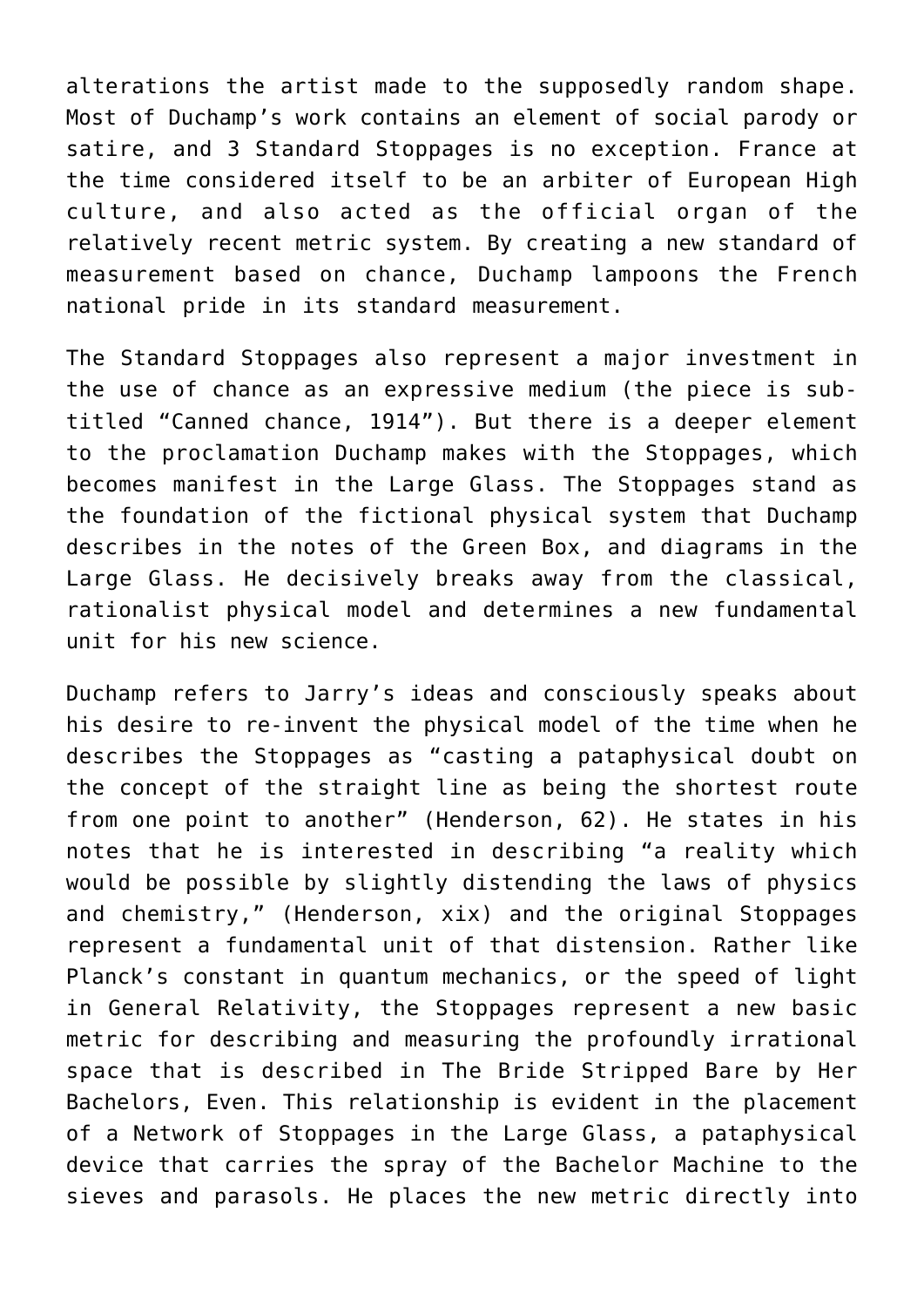alterations the artist made to the supposedly random shape. Most of Duchamp's work contains an element of social parody or satire, and 3 Standard Stoppages is no exception. France at the time considered itself to be an arbiter of European High culture, and also acted as the official organ of the relatively recent metric system. By creating a new standard of measurement based on chance, Duchamp lampoons the French national pride in its standard measurement.

The Standard Stoppages also represent a major investment in the use of chance as an expressive medium (the piece is subtitled "Canned chance, 1914"). But there is a deeper element to the proclamation Duchamp makes with the Stoppages, which becomes manifest in the Large Glass. The Stoppages stand as the foundation of the fictional physical system that Duchamp describes in the notes of the Green Box, and diagrams in the Large Glass. He decisively breaks away from the classical, rationalist physical model and determines a new fundamental unit for his new science.

Duchamp refers to Jarry's ideas and consciously speaks about his desire to re-invent the physical model of the time when he describes the Stoppages as "casting a pataphysical doubt on the concept of the straight line as being the shortest route from one point to another" (Henderson, 62). He states in his notes that he is interested in describing "a reality which would be possible by slightly distending the laws of physics and chemistry," (Henderson, xix) and the original Stoppages represent a fundamental unit of that distension. Rather like Planck's constant in quantum mechanics, or the speed of light in General Relativity, the Stoppages represent a new basic metric for describing and measuring the profoundly irrational space that is described in The Bride Stripped Bare by Her Bachelors, Even. This relationship is evident in the placement of a Network of Stoppages in the Large Glass, a pataphysical device that carries the spray of the Bachelor Machine to the sieves and parasols. He places the new metric directly into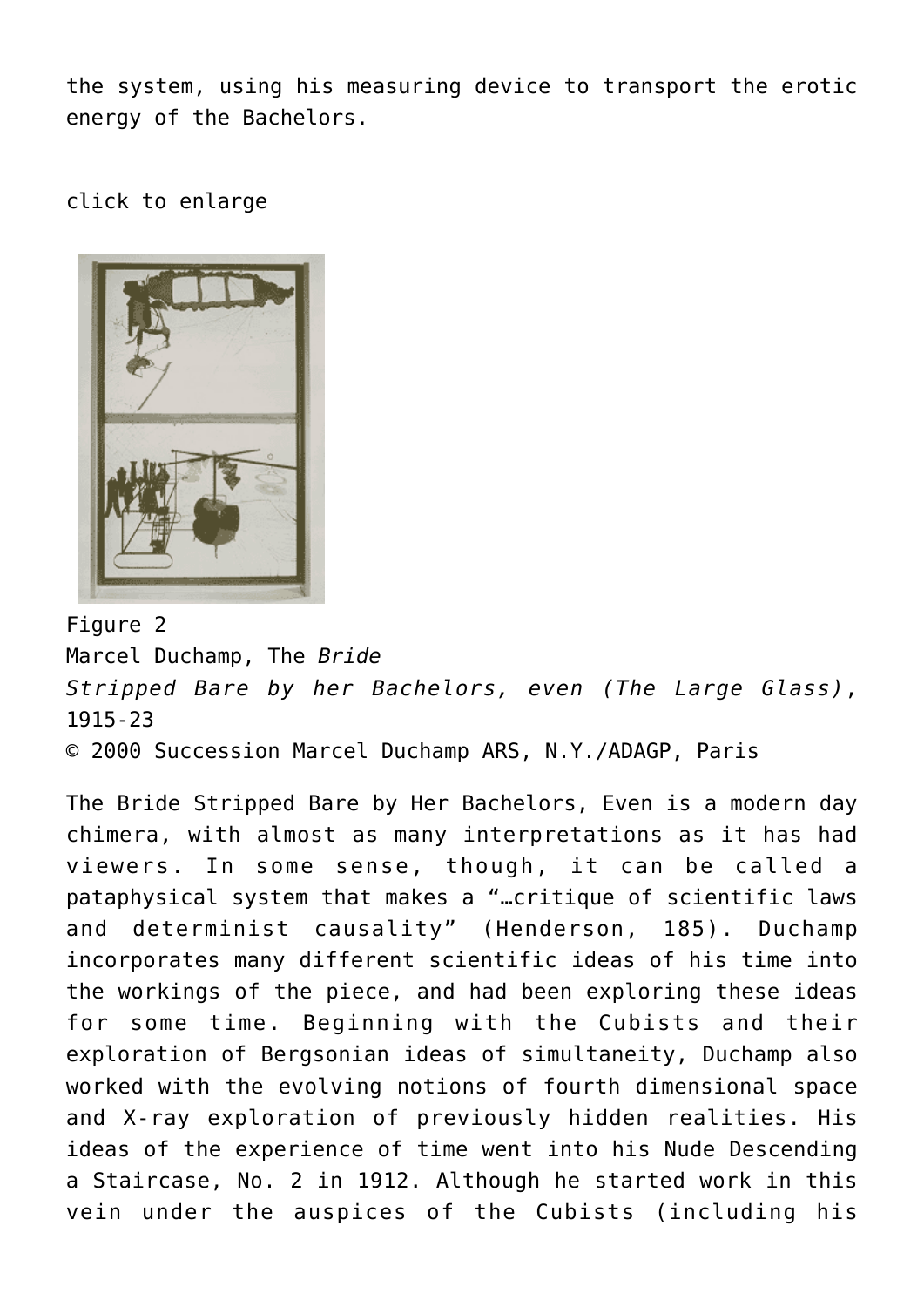the system, using his measuring device to transport the erotic energy of the Bachelors.

click to enlarge



Figure 2

Marcel Duchamp, The *Bride Stripped Bare by her Bachelors, even (The Large Glass)*, 1915-23 © 2000 Succession Marcel Duchamp ARS, N.Y./ADAGP, Paris

The Bride Stripped Bare by Her Bachelors, Even is a modern day chimera, with almost as many interpretations as it has had viewers. In some sense, though, it can be called a pataphysical system that makes a "…critique of scientific laws and determinist causality" (Henderson, 185). Duchamp incorporates many different scientific ideas of his time into the workings of the piece, and had been exploring these ideas for some time. Beginning with the Cubists and their exploration of Bergsonian ideas of simultaneity, Duchamp also worked with the evolving notions of fourth dimensional space and X-ray exploration of previously hidden realities. His ideas of the experience of time went into his Nude Descending a Staircase, No. 2 in 1912. Although he started work in this vein under the auspices of the Cubists (including his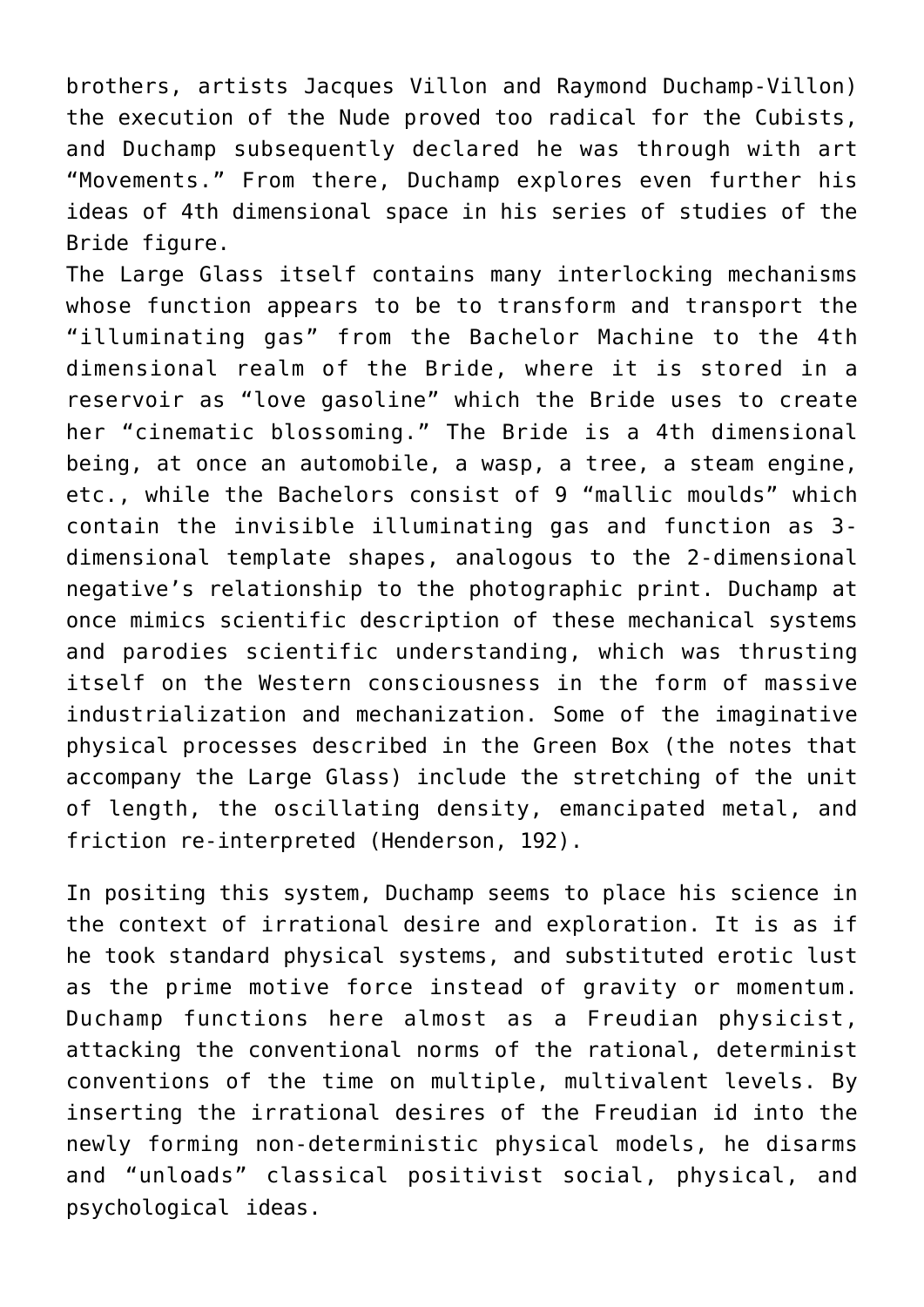brothers, artists Jacques Villon and Raymond Duchamp-Villon) the execution of the Nude proved too radical for the Cubists, and Duchamp subsequently declared he was through with art "Movements." From there, Duchamp explores even further his ideas of 4th dimensional space in his series of studies of the Bride figure.

The Large Glass itself contains many interlocking mechanisms whose function appears to be to transform and transport the "illuminating gas" from the Bachelor Machine to the 4th dimensional realm of the Bride, where it is stored in a reservoir as "love gasoline" which the Bride uses to create her "cinematic blossoming." The Bride is a 4th dimensional being, at once an automobile, a wasp, a tree, a steam engine, etc., while the Bachelors consist of 9 "mallic moulds" which contain the invisible illuminating gas and function as 3 dimensional template shapes, analogous to the 2-dimensional negative's relationship to the photographic print. Duchamp at once mimics scientific description of these mechanical systems and parodies scientific understanding, which was thrusting itself on the Western consciousness in the form of massive industrialization and mechanization. Some of the imaginative physical processes described in the Green Box (the notes that accompany the Large Glass) include the stretching of the unit of length, the oscillating density, emancipated metal, and friction re-interpreted (Henderson, 192).

In positing this system, Duchamp seems to place his science in the context of irrational desire and exploration. It is as if he took standard physical systems, and substituted erotic lust as the prime motive force instead of gravity or momentum. Duchamp functions here almost as a Freudian physicist, attacking the conventional norms of the rational, determinist conventions of the time on multiple, multivalent levels. By inserting the irrational desires of the Freudian id into the newly forming non-deterministic physical models, he disarms and "unloads" classical positivist social, physical, and psychological ideas.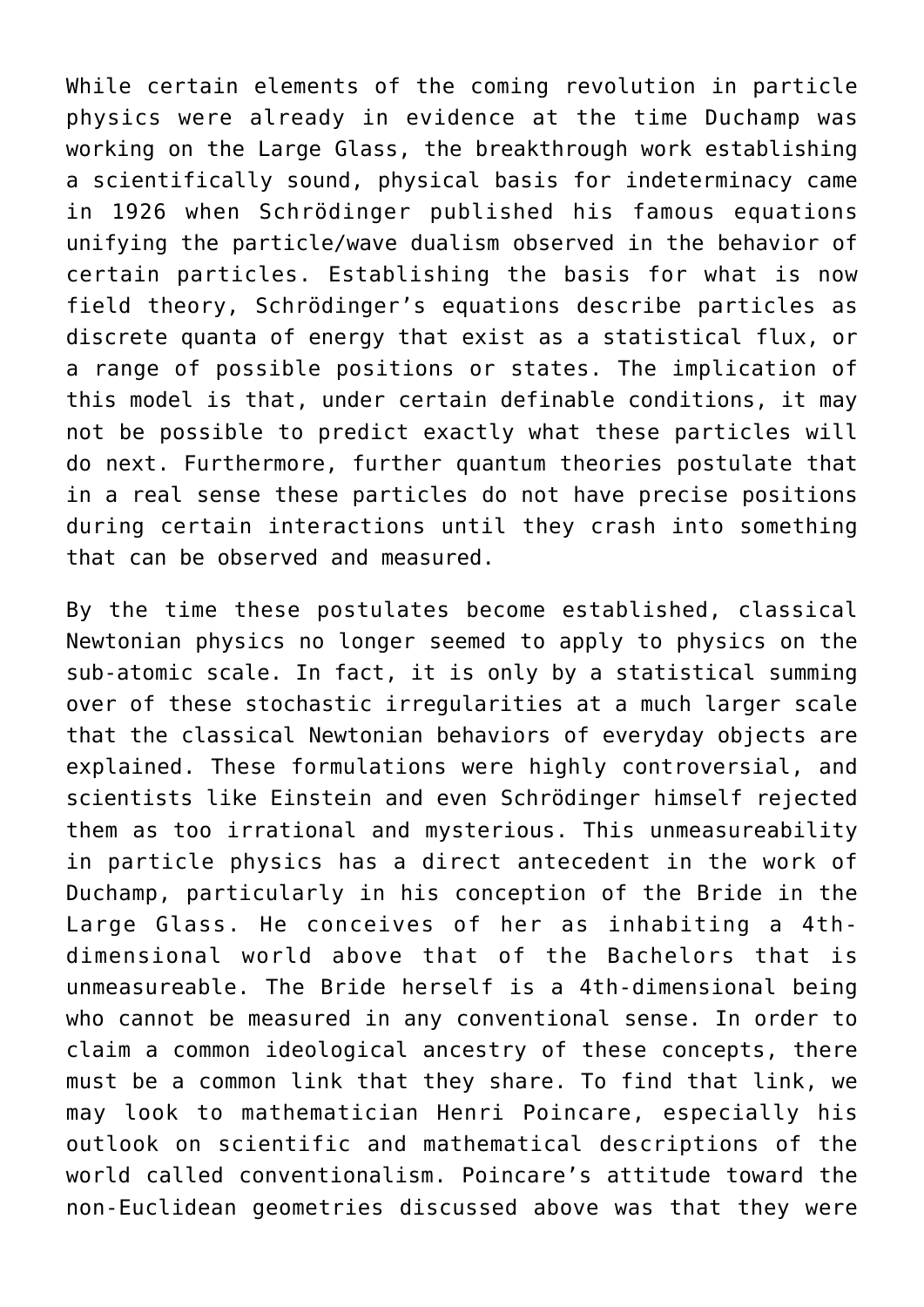While certain elements of the coming revolution in particle physics were already in evidence at the time Duchamp was working on the Large Glass, the breakthrough work establishing a scientifically sound, physical basis for indeterminacy came in 1926 when Schrödinger published his famous equations unifying the particle/wave dualism observed in the behavior of certain particles. Establishing the basis for what is now field theory, Schrödinger's equations describe particles as discrete quanta of energy that exist as a statistical flux, or a range of possible positions or states. The implication of this model is that, under certain definable conditions, it may not be possible to predict exactly what these particles will do next. Furthermore, further quantum theories postulate that in a real sense these particles do not have precise positions during certain interactions until they crash into something that can be observed and measured.

By the time these postulates become established, classical Newtonian physics no longer seemed to apply to physics on the sub-atomic scale. In fact, it is only by a statistical summing over of these stochastic irregularities at a much larger scale that the classical Newtonian behaviors of everyday objects are explained. These formulations were highly controversial, and scientists like Einstein and even Schrödinger himself rejected them as too irrational and mysterious. This unmeasureability in particle physics has a direct antecedent in the work of Duchamp, particularly in his conception of the Bride in the Large Glass. He conceives of her as inhabiting a 4thdimensional world above that of the Bachelors that is unmeasureable. The Bride herself is a 4th-dimensional being who cannot be measured in any conventional sense. In order to claim a common ideological ancestry of these concepts, there must be a common link that they share. To find that link, we may look to mathematician Henri Poincare, especially his outlook on scientific and mathematical descriptions of the world called conventionalism. Poincare's attitude toward the non-Euclidean geometries discussed above was that they were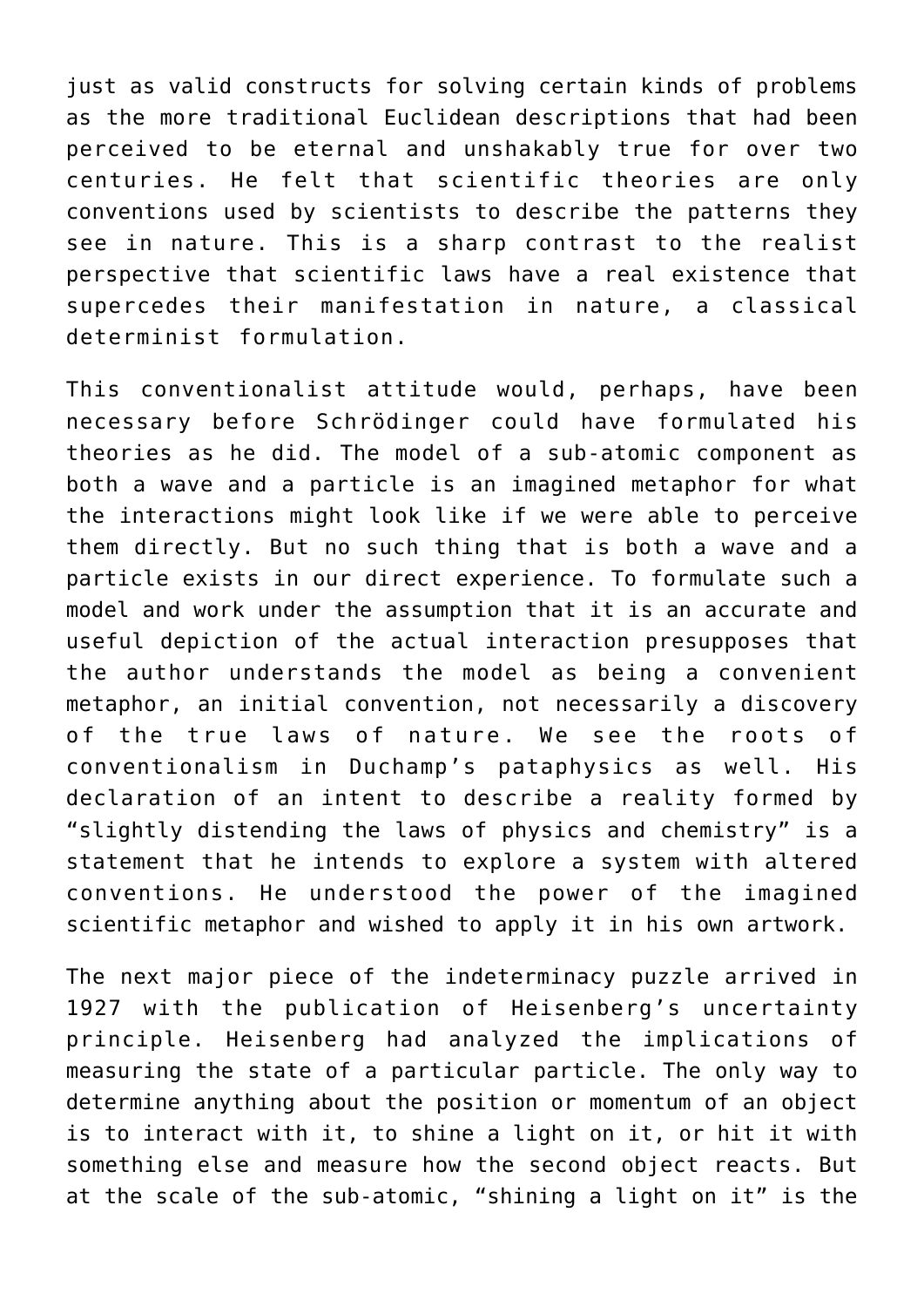just as valid constructs for solving certain kinds of problems as the more traditional Euclidean descriptions that had been perceived to be eternal and unshakably true for over two centuries. He felt that scientific theories are only conventions used by scientists to describe the patterns they see in nature. This is a sharp contrast to the realist perspective that scientific laws have a real existence that supercedes their manifestation in nature, a classical determinist formulation.

This conventionalist attitude would, perhaps, have been necessary before Schrödinger could have formulated his theories as he did. The model of a sub-atomic component as both a wave and a particle is an imagined metaphor for what the interactions might look like if we were able to perceive them directly. But no such thing that is both a wave and a particle exists in our direct experience. To formulate such a model and work under the assumption that it is an accurate and useful depiction of the actual interaction presupposes that the author understands the model as being a convenient metaphor, an initial convention, not necessarily a discovery of the true laws of nature. We see the roots of conventionalism in Duchamp's pataphysics as well. His declaration of an intent to describe a reality formed by "slightly distending the laws of physics and chemistry" is a statement that he intends to explore a system with altered conventions. He understood the power of the imagined scientific metaphor and wished to apply it in his own artwork.

The next major piece of the indeterminacy puzzle arrived in 1927 with the publication of Heisenberg's uncertainty principle. Heisenberg had analyzed the implications of measuring the state of a particular particle. The only way to determine anything about the position or momentum of an object is to interact with it, to shine a light on it, or hit it with something else and measure how the second object reacts. But at the scale of the sub-atomic, "shining a light on it" is the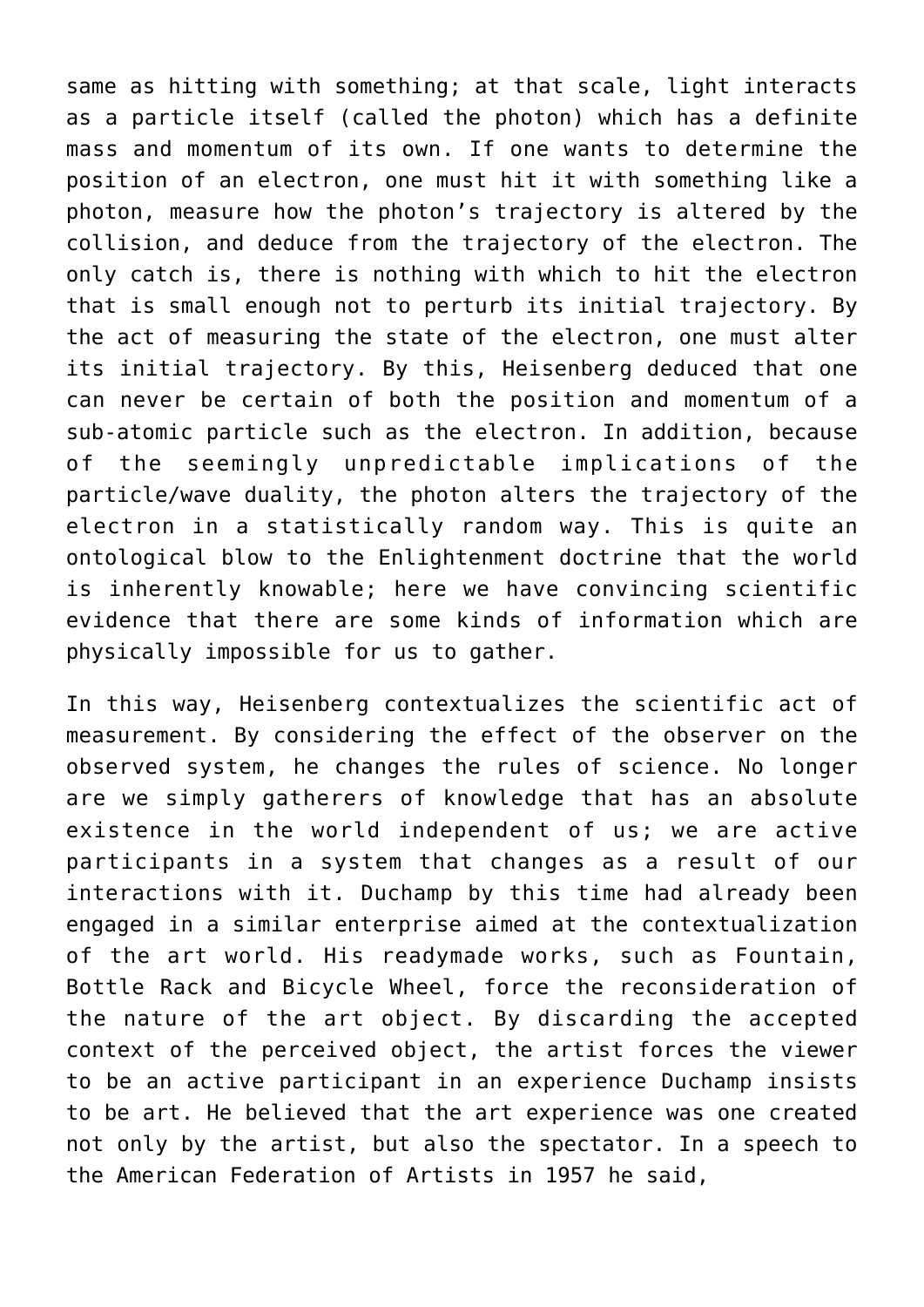same as hitting with something; at that scale, light interacts as a particle itself (called the photon) which has a definite mass and momentum of its own. If one wants to determine the position of an electron, one must hit it with something like a photon, measure how the photon's trajectory is altered by the collision, and deduce from the trajectory of the electron. The only catch is, there is nothing with which to hit the electron that is small enough not to perturb its initial trajectory. By the act of measuring the state of the electron, one must alter its initial trajectory. By this, Heisenberg deduced that one can never be certain of both the position and momentum of a sub-atomic particle such as the electron. In addition, because of the seemingly unpredictable implications of the particle/wave duality, the photon alters the trajectory of the electron in a statistically random way. This is quite an ontological blow to the Enlightenment doctrine that the world is inherently knowable; here we have convincing scientific evidence that there are some kinds of information which are physically impossible for us to gather.

In this way, Heisenberg contextualizes the scientific act of measurement. By considering the effect of the observer on the observed system, he changes the rules of science. No longer are we simply gatherers of knowledge that has an absolute existence in the world independent of us; we are active participants in a system that changes as a result of our interactions with it. Duchamp by this time had already been engaged in a similar enterprise aimed at the contextualization of the art world. His readymade works, such as Fountain, Bottle Rack and Bicycle Wheel, force the reconsideration of the nature of the art object. By discarding the accepted context of the perceived object, the artist forces the viewer to be an active participant in an experience Duchamp insists to be art. He believed that the art experience was one created not only by the artist, but also the spectator. In a speech to the American Federation of Artists in 1957 he said,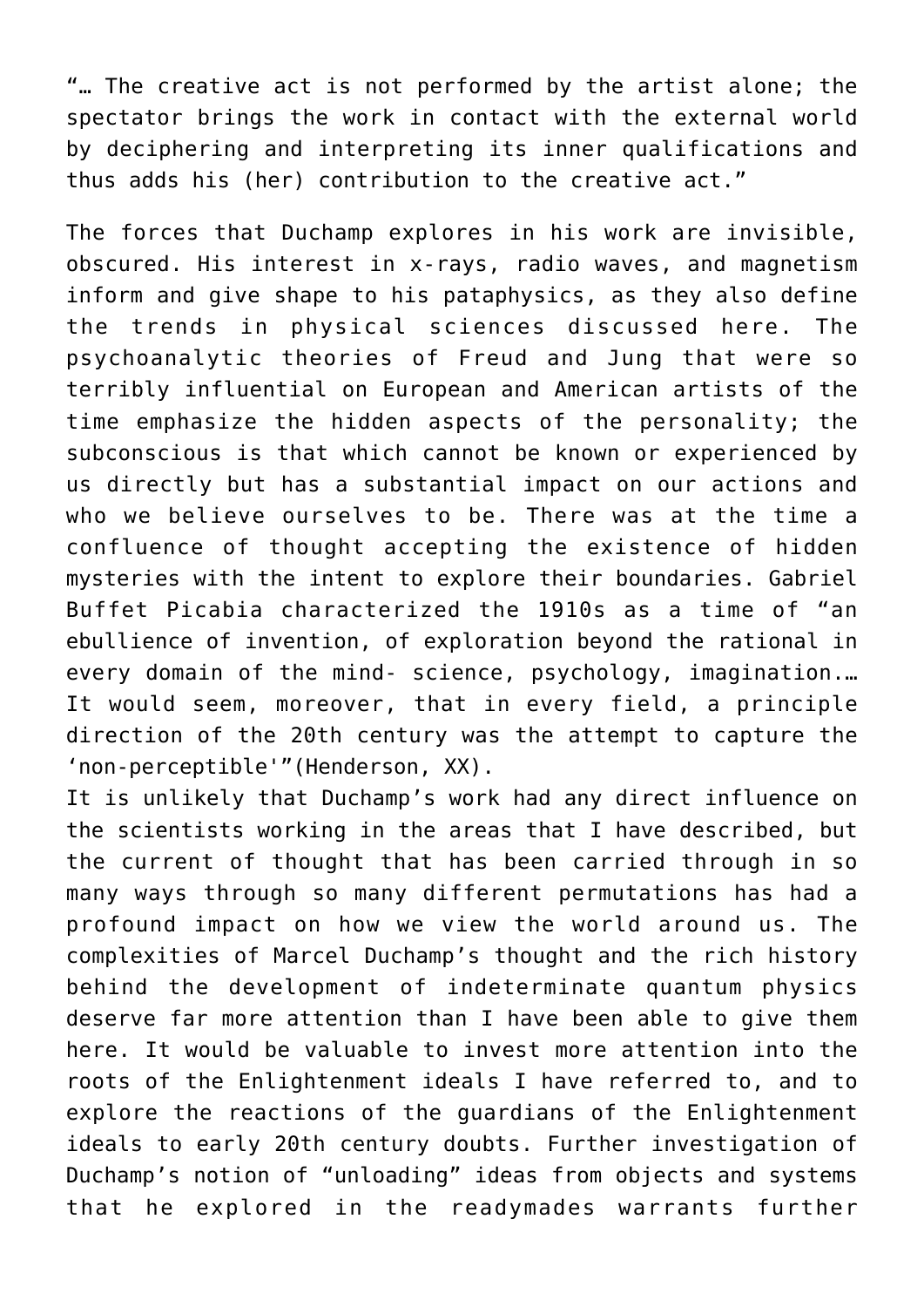"… The creative act is not performed by the artist alone; the spectator brings the work in contact with the external world by deciphering and interpreting its inner qualifications and thus adds his (her) contribution to the creative act."

The forces that Duchamp explores in his work are invisible, obscured. His interest in x-rays, radio waves, and magnetism inform and give shape to his pataphysics, as they also define the trends in physical sciences discussed here. The psychoanalytic theories of Freud and Jung that were so terribly influential on European and American artists of the time emphasize the hidden aspects of the personality; the subconscious is that which cannot be known or experienced by us directly but has a substantial impact on our actions and who we believe ourselves to be. There was at the time a confluence of thought accepting the existence of hidden mysteries with the intent to explore their boundaries. Gabriel Buffet Picabia characterized the 1910s as a time of "an ebullience of invention, of exploration beyond the rational in every domain of the mind- science, psychology, imagination.… It would seem, moreover, that in every field, a principle direction of the 20th century was the attempt to capture the 'non-perceptible'"(Henderson, XX).

It is unlikely that Duchamp's work had any direct influence on the scientists working in the areas that I have described, but the current of thought that has been carried through in so many ways through so many different permutations has had a profound impact on how we view the world around us. The complexities of Marcel Duchamp's thought and the rich history behind the development of indeterminate quantum physics deserve far more attention than I have been able to give them here. It would be valuable to invest more attention into the roots of the Enlightenment ideals I have referred to, and to explore the reactions of the guardians of the Enlightenment ideals to early 20th century doubts. Further investigation of Duchamp's notion of "unloading" ideas from objects and systems that he explored in the readymades warrants further